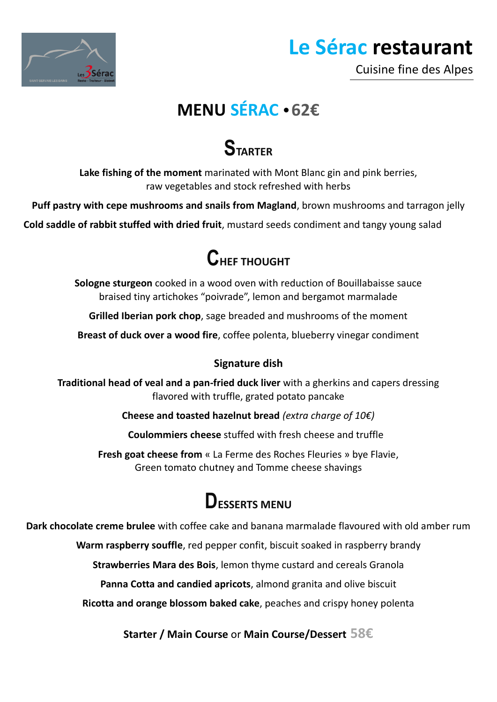

## **Le Sérac restaurant**

Cuisine fine des Alpes

### **MENU SÉRAC • 62€**

## **STARTER**

**Lake fishing of the moment** marinated with Mont Blanc gin and pink berries, raw vegetables and stock refreshed with herbs

**Puff pastry with cepe mushrooms and snails from Magland**, brown mushrooms and tarragon jelly

**Cold saddle of rabbit stuffed with dried fruit**, mustard seeds condiment and tangy young salad

## **CHEF THOUGHT**

**Sologne sturgeon** cooked in a wood oven with reduction of Bouillabaisse sauce braised tiny artichokes "poivrade", lemon and bergamot marmalade

**Grilled Iberian pork chop**, sage breaded and mushrooms of the moment

**Breast of duck over a wood fire**, coffee polenta, blueberry vinegar condiment

#### **Signature dish**

**Traditional head of veal and a pan-fried duck liver** with a gherkins and capers dressing flavored with truffle, grated potato pancake

**Cheese and toasted hazelnut bread** *(extra charge of 10€)*

**Coulommiers cheese** stuffed with fresh cheese and truffle

**Fresh goat cheese from** « La Ferme des Roches Fleuries » bye Flavie, Green tomato chutney and Tomme cheese shavings

## **DESSERTS MENU**

**Dark chocolate creme brulee** with coffee cake and banana marmalade flavoured with old amber rum

**Warm raspberry souffle**, red pepper confit, biscuit soaked in raspberry brandy

**Strawberries Mara des Bois**, lemon thyme custard and cereals Granola

**Panna Cotta and candied apricots**, almond granita and olive biscuit

**Ricotta and orange blossom baked cake**, peaches and crispy honey polenta

**Starter / Main Course** or **Main Course/Dessert 58€**